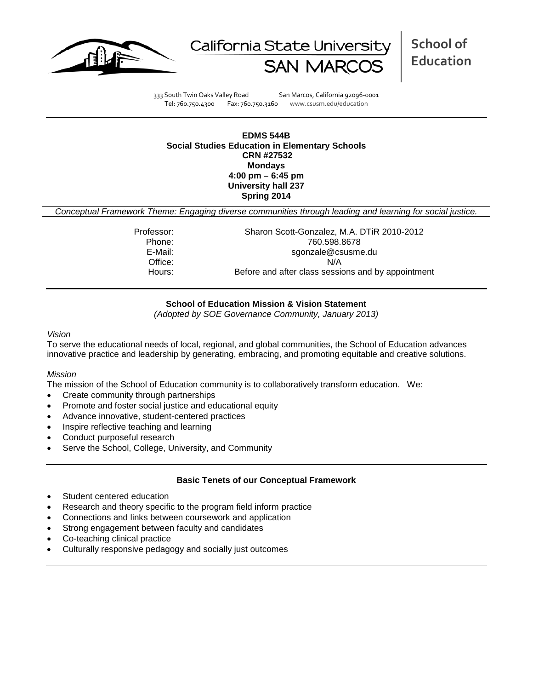



**School of Education**

333 South Twin Oaks Valley Road San Marcos, California 92096-0001 Tel: 760.750.4300 Fax: 760.750.3160 www.csusm.edu/education

### **EDMS 544B Social Studies Education in Elementary Schools CRN #27532 Mondays 4:00 pm – 6:45 pm University hall 237 Spring 2014**

*Conceptual Framework Theme: Engaging diverse communities through leading and learning for social justice.*

Professor: Sharon Scott-Gonzalez, M.A. DTiR 2010-2012 Phone: 760.598.8678 sgonzale@csusme.du Office: N/A Hours: Before and after class sessions and by appointment

## **School of Education Mission & Vision Statement**

*(Adopted by SOE Governance Community, January 2013)*

#### *Vision*

To serve the educational needs of local, regional, and global communities, the School of Education advances innovative practice and leadership by generating, embracing, and promoting equitable and creative solutions.

#### *Mission*

The mission of the School of Education community is to collaboratively transform education. We:

- Create community through partnerships
- Promote and foster social justice and educational equity
- Advance innovative, student-centered practices
- Inspire reflective teaching and learning
- Conduct purposeful research
- Serve the School, College, University, and Community

#### **Basic Tenets of our Conceptual Framework**

- Student centered education
- Research and theory specific to the program field inform practice
- Connections and links between coursework and application
- Strong engagement between faculty and candidates
- Co-teaching clinical practice
- Culturally responsive pedagogy and socially just outcomes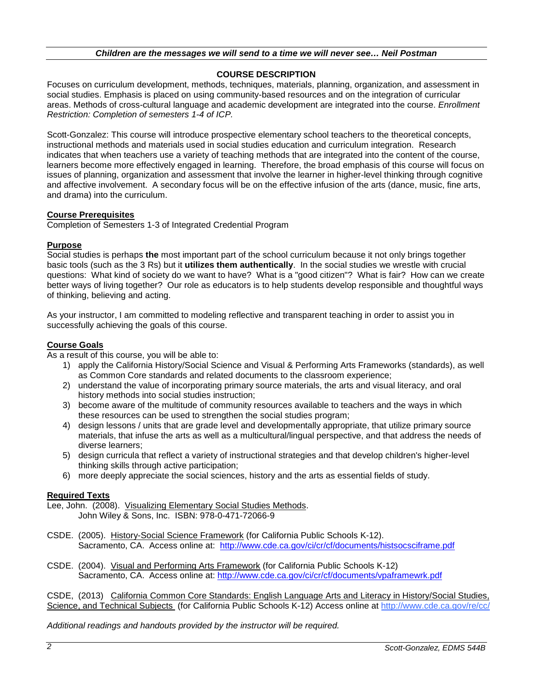## *Children are the messages we will send to a time we will never see… Neil Postman*

## **COURSE DESCRIPTION**

Focuses on curriculum development, methods, techniques, materials, planning, organization, and assessment in social studies. Emphasis is placed on using community-based resources and on the integration of curricular areas. Methods of cross-cultural language and academic development are integrated into the course. *Enrollment Restriction: Completion of semesters 1-4 of ICP.*

Scott-Gonzalez: This course will introduce prospective elementary school teachers to the theoretical concepts, instructional methods and materials used in social studies education and curriculum integration. Research indicates that when teachers use a variety of teaching methods that are integrated into the content of the course, learners become more effectively engaged in learning. Therefore, the broad emphasis of this course will focus on issues of planning, organization and assessment that involve the learner in higher-level thinking through cognitive and affective involvement. A secondary focus will be on the effective infusion of the arts (dance, music, fine arts, and drama) into the curriculum.

## **Course Prerequisites**

Completion of Semesters 1-3 of Integrated Credential Program

## **Purpose**

Social studies is perhaps **the** most important part of the school curriculum because it not only brings together basic tools (such as the 3 Rs) but it **utilizes them authentically**. In the social studies we wrestle with crucial questions: What kind of society do we want to have? What is a "good citizen"? What is fair? How can we create better ways of living together? Our role as educators is to help students develop responsible and thoughtful ways of thinking, believing and acting.

As your instructor, I am committed to modeling reflective and transparent teaching in order to assist you in successfully achieving the goals of this course.

## **Course Goals**

As a result of this course, you will be able to:

- 1) apply the California History/Social Science and Visual & Performing Arts Frameworks (standards), as well as Common Core standards and related documents to the classroom experience;
- 2) understand the value of incorporating primary source materials, the arts and visual literacy, and oral history methods into social studies instruction;
- 3) become aware of the multitude of community resources available to teachers and the ways in which these resources can be used to strengthen the social studies program;
- 4) design lessons / units that are grade level and developmentally appropriate, that utilize primary source materials, that infuse the arts as well as a multicultural/lingual perspective, and that address the needs of diverse learners;
- 5) design curricula that reflect a variety of instructional strategies and that develop children's higher-level thinking skills through active participation;
- 6) more deeply appreciate the social sciences, history and the arts as essential fields of study.

#### **Required Texts**

Lee, John. (2008). Visualizing Elementary Social Studies Methods. John Wiley & Sons, Inc. ISBN: 978-0-471-72066-9

- CSDE. (2005). History-Social Science Framework (for California Public Schools K-12). Sacramento, CA. Access online at: <http://www.cde.ca.gov/ci/cr/cf/documents/histsocsciframe.pdf>
- CSDE. (2004). Visual and Performing Arts Framework (for California Public Schools K-12) Sacramento, CA. Access online at:<http://www.cde.ca.gov/ci/cr/cf/documents/vpaframewrk.pdf>

CSDE, (2013) California Common Core Standards: English Language Arts and Literacy in History/Social Studies, Science, and Technical Subjects (for California Public Schools K-12) Access online at<http://www.cde.ca.gov/re/cc/>

*Additional readings and handouts provided by the instructor will be required.*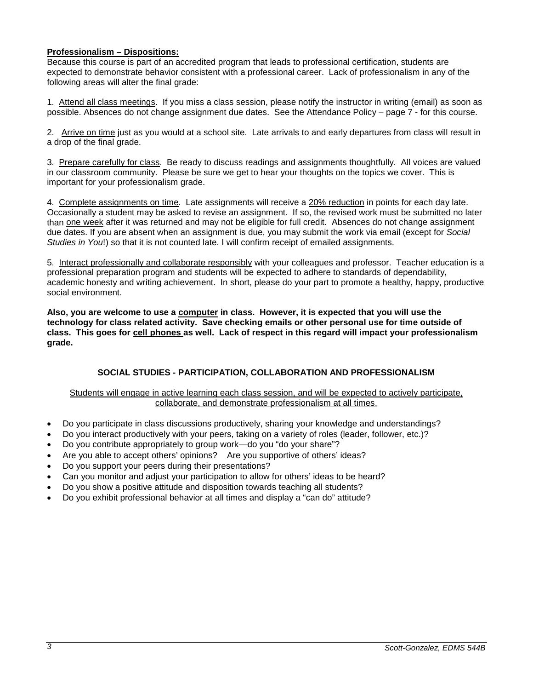## **Professionalism – Dispositions:**

Because this course is part of an accredited program that leads to professional certification, students are expected to demonstrate behavior consistent with a professional career. Lack of professionalism in any of the following areas will alter the final grade:

1. Attend all class meetings. If you miss a class session, please notify the instructor in writing (email) as soon as possible. Absences do not change assignment due dates. See the Attendance Policy – page 7 - for this course.

2. Arrive on time just as you would at a school site. Late arrivals to and early departures from class will result in a drop of the final grade.

3. Prepare carefully for class. Be ready to discuss readings and assignments thoughtfully. All voices are valued in our classroom community. Please be sure we get to hear your thoughts on the topics we cover. This is important for your professionalism grade.

4. Complete assignments on time. Late assignments will receive a 20% reduction in points for each day late. Occasionally a student may be asked to revise an assignment. If so, the revised work must be submitted no later than one week after it was returned and may not be eligible for full credit. Absences do not change assignment due dates. If you are absent when an assignment is due, you may submit the work via email (except for *Social Studies in You*!) so that it is not counted late. I will confirm receipt of emailed assignments.

5. Interact professionally and collaborate responsibly with your colleagues and professor. Teacher education is a professional preparation program and students will be expected to adhere to standards of dependability, academic honesty and writing achievement. In short, please do your part to promote a healthy, happy, productive social environment.

**Also, you are welcome to use a computer in class. However, it is expected that you will use the technology for class related activity. Save checking emails or other personal use for time outside of class. This goes for cell phones as well. Lack of respect in this regard will impact your professionalism grade.**

## **SOCIAL STUDIES - PARTICIPATION, COLLABORATION AND PROFESSIONALISM**

#### Students will engage in active learning each class session, and will be expected to actively participate, collaborate, and demonstrate professionalism at all times.

- Do you participate in class discussions productively, sharing your knowledge and understandings?
- Do you interact productively with your peers, taking on a variety of roles (leader, follower, etc.)?
- Do you contribute appropriately to group work—do you "do your share"?
- Are you able to accept others' opinions? Are you supportive of others' ideas?
- Do you support your peers during their presentations?
- Can you monitor and adjust your participation to allow for others' ideas to be heard?
- Do you show a positive attitude and disposition towards teaching all students?
- Do you exhibit professional behavior at all times and display a "can do" attitude?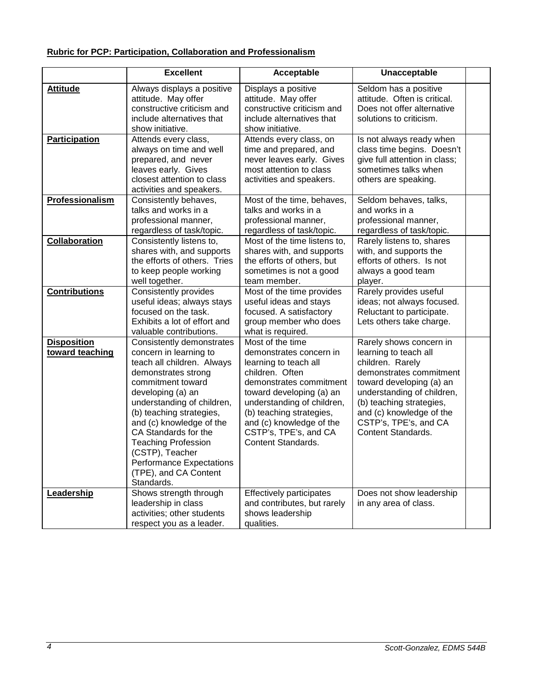# **Rubric for PCP: Participation, Collaboration and Professionalism**

|                                       | <b>Excellent</b>                                                                                                                                                                                                                                                                                                                                                                            | Acceptable                                                                                                                                                                                                                                                                                 | Unacceptable                                                                                                                                                                                                                                                     |  |
|---------------------------------------|---------------------------------------------------------------------------------------------------------------------------------------------------------------------------------------------------------------------------------------------------------------------------------------------------------------------------------------------------------------------------------------------|--------------------------------------------------------------------------------------------------------------------------------------------------------------------------------------------------------------------------------------------------------------------------------------------|------------------------------------------------------------------------------------------------------------------------------------------------------------------------------------------------------------------------------------------------------------------|--|
| <b>Attitude</b>                       | Always displays a positive<br>attitude. May offer<br>constructive criticism and<br>include alternatives that<br>show initiative.                                                                                                                                                                                                                                                            | Displays a positive<br>attitude. May offer<br>constructive criticism and<br>include alternatives that<br>show initiative.                                                                                                                                                                  | Seldom has a positive<br>attitude. Often is critical.<br>Does not offer alternative<br>solutions to criticism.                                                                                                                                                   |  |
| <b>Participation</b>                  | Attends every class,<br>always on time and well<br>prepared, and never<br>leaves early. Gives<br>closest attention to class<br>activities and speakers.                                                                                                                                                                                                                                     | Attends every class, on<br>time and prepared, and<br>never leaves early. Gives<br>most attention to class<br>activities and speakers.                                                                                                                                                      | Is not always ready when<br>class time begins. Doesn't<br>give full attention in class;<br>sometimes talks when<br>others are speaking.                                                                                                                          |  |
| Professionalism                       | Consistently behaves,<br>talks and works in a<br>professional manner,<br>regardless of task/topic.                                                                                                                                                                                                                                                                                          | Most of the time, behaves,<br>talks and works in a<br>professional manner,<br>regardless of task/topic.                                                                                                                                                                                    | Seldom behaves, talks,<br>and works in a<br>professional manner,<br>regardless of task/topic.                                                                                                                                                                    |  |
| <b>Collaboration</b>                  | Consistently listens to,<br>shares with, and supports<br>the efforts of others. Tries<br>to keep people working<br>well together.                                                                                                                                                                                                                                                           | Most of the time listens to,<br>shares with, and supports<br>the efforts of others, but<br>sometimes is not a good<br>team member.                                                                                                                                                         | Rarely listens to, shares<br>with, and supports the<br>efforts of others. Is not<br>always a good team<br>player.                                                                                                                                                |  |
| <b>Contributions</b>                  | Consistently provides<br>useful ideas; always stays<br>focused on the task.<br>Exhibits a lot of effort and<br>valuable contributions.                                                                                                                                                                                                                                                      | Most of the time provides<br>useful ideas and stays<br>focused. A satisfactory<br>group member who does<br>what is required.                                                                                                                                                               | Rarely provides useful<br>ideas; not always focused.<br>Reluctant to participate.<br>Lets others take charge.                                                                                                                                                    |  |
| <b>Disposition</b><br>toward teaching | Consistently demonstrates<br>concern in learning to<br>teach all children. Always<br>demonstrates strong<br>commitment toward<br>developing (a) an<br>understanding of children,<br>(b) teaching strategies,<br>and (c) knowledge of the<br>CA Standards for the<br><b>Teaching Profession</b><br>(CSTP), Teacher<br><b>Performance Expectations</b><br>(TPE), and CA Content<br>Standards. | Most of the time<br>demonstrates concern in<br>learning to teach all<br>children. Often<br>demonstrates commitment<br>toward developing (a) an<br>understanding of children,<br>(b) teaching strategies,<br>and (c) knowledge of the<br>CSTP's, TPE's, and CA<br><b>Content Standards.</b> | Rarely shows concern in<br>learning to teach all<br>children. Rarely<br>demonstrates commitment<br>toward developing (a) an<br>understanding of children,<br>(b) teaching strategies,<br>and (c) knowledge of the<br>CSTP's, TPE's, and CA<br>Content Standards. |  |
| Leadership                            | Shows strength through<br>leadership in class<br>activities; other students<br>respect you as a leader.                                                                                                                                                                                                                                                                                     | <b>Effectively participates</b><br>and contributes, but rarely<br>shows leadership<br>qualities.                                                                                                                                                                                           | Does not show leadership<br>in any area of class.                                                                                                                                                                                                                |  |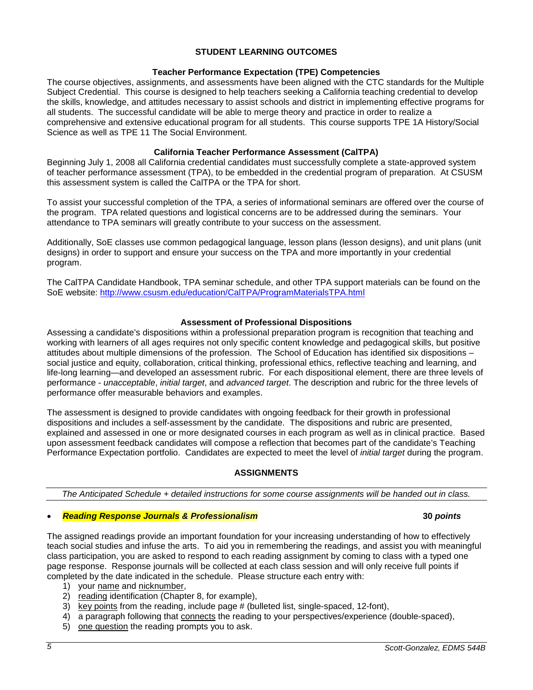## **STUDENT LEARNING OUTCOMES**

## **Teacher Performance Expectation (TPE) Competencies**

The course objectives, assignments, and assessments have been aligned with the CTC standards for the Multiple Subject Credential. This course is designed to help teachers seeking a California teaching credential to develop the skills, knowledge, and attitudes necessary to assist schools and district in implementing effective programs for all students. The successful candidate will be able to merge theory and practice in order to realize a comprehensive and extensive educational program for all students. This course supports TPE 1A History/Social Science as well as TPE 11 The Social Environment.

## **California Teacher Performance Assessment (CalTPA)**

Beginning July 1, 2008 all California credential candidates must successfully complete a state-approved system of teacher performance assessment (TPA), to be embedded in the credential program of preparation. At CSUSM this assessment system is called the CalTPA or the TPA for short.

To assist your successful completion of the TPA, a series of informational seminars are offered over the course of the program. TPA related questions and logistical concerns are to be addressed during the seminars. Your attendance to TPA seminars will greatly contribute to your success on the assessment.

Additionally, SoE classes use common pedagogical language, lesson plans (lesson designs), and unit plans (unit designs) in order to support and ensure your success on the TPA and more importantly in your credential program.

The CalTPA Candidate Handbook, TPA seminar schedule, and other TPA support materials can be found on the SoE website: <http://www.csusm.edu/education/CalTPA/ProgramMaterialsTPA.html>

## **Assessment of Professional Dispositions**

Assessing a candidate's dispositions within a professional preparation program is recognition that teaching and working with learners of all ages requires not only specific content knowledge and pedagogical skills, but positive attitudes about multiple dimensions of the profession. The School of Education has identified six dispositions – social justice and equity, collaboration, critical thinking, professional ethics, reflective teaching and learning, and life-long learning—and developed an assessment rubric. For each dispositional element, there are three levels of performance - *unacceptable*, *initial target*, and *advanced target*. The description and rubric for the three levels of performance offer measurable behaviors and examples.

The assessment is designed to provide candidates with ongoing feedback for their growth in professional dispositions and includes a self-assessment by the candidate. The dispositions and rubric are presented, explained and assessed in one or more designated courses in each program as well as in clinical practice. Based upon assessment feedback candidates will compose a reflection that becomes part of the candidate's Teaching Performance Expectation portfolio. Candidates are expected to meet the level of *initial target* during the program.

## **ASSIGNMENTS**

*The Anticipated Schedule + detailed instructions for some course assignments will be handed out in class.*

# • *Reading Response Journals & Professionalism* **30** *points*

The assigned readings provide an important foundation for your increasing understanding of how to effectively teach social studies and infuse the arts. To aid you in remembering the readings, and assist you with meaningful class participation, you are asked to respond to each reading assignment by coming to class with a typed one page response. Response journals will be collected at each class session and will only receive full points if completed by the date indicated in the schedule. Please structure each entry with:

- 1) your name and nicknumber,
- 2) reading identification (Chapter 8, for example),
- $3)$  key points from the reading, include page # (bulleted list, single-spaced, 12-font),
- 4) a paragraph following that connects the reading to your perspectives/experience (double-spaced),
- 5) one question the reading prompts you to ask.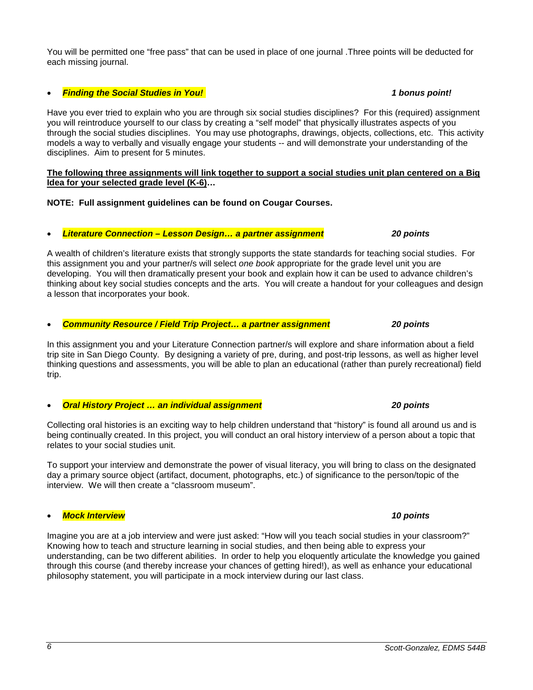### You will be permitted one "free pass" that can be used in place of one journal .Three points will be deducted for each missing journal.

## • *Finding the Social Studies in You! 1 bonus point!*

Have you ever tried to explain who you are through six social studies disciplines? For this (required) assignment you will reintroduce yourself to our class by creating a "self model" that physically illustrates aspects of you through the social studies disciplines. You may use photographs, drawings, objects, collections, etc. This activity models a way to verbally and visually engage your students -- and will demonstrate your understanding of the disciplines. Aim to present for 5 minutes.

#### **The following three assignments will link together to support a social studies unit plan centered on a Big Idea for your selected grade level (K-6)…**

**NOTE: Full assignment guidelines can be found on Cougar Courses.**

## • *Literature Connection – Lesson Design… a partner assignment 20 points*

A wealth of children's literature exists that strongly supports the state standards for teaching social studies. For this assignment you and your partner/s will select *one book* appropriate for the grade level unit you are developing. You will then dramatically present your book and explain how it can be used to advance children's thinking about key social studies concepts and the arts. You will create a handout for your colleagues and design a lesson that incorporates your book.

#### • *Community Resource / Field Trip Project… a partner assignment 20 points*

In this assignment you and your Literature Connection partner/s will explore and share information about a field trip site in San Diego County. By designing a variety of pre, during, and post-trip lessons, as well as higher level thinking questions and assessments, you will be able to plan an educational (rather than purely recreational) field trip.

## • *Oral History Project … an individual assignment 20 points*

Collecting oral histories is an exciting way to help children understand that "history" is found all around us and is being continually created. In this project, you will conduct an oral history interview of a person about a topic that relates to your social studies unit.

To support your interview and demonstrate the power of visual literacy, you will bring to class on the designated day a primary source object (artifact, document, photographs, etc.) of significance to the person/topic of the interview. We will then create a "classroom museum".

#### • *Mock Interview 10 points*

Imagine you are at a job interview and were just asked: "How will you teach social studies in your classroom?" Knowing how to teach and structure learning in social studies, and then being able to express your understanding, can be two different abilities. In order to help you eloquently articulate the knowledge you gained through this course (and thereby increase your chances of getting hired!), as well as enhance your educational philosophy statement, you will participate in a mock interview during our last class.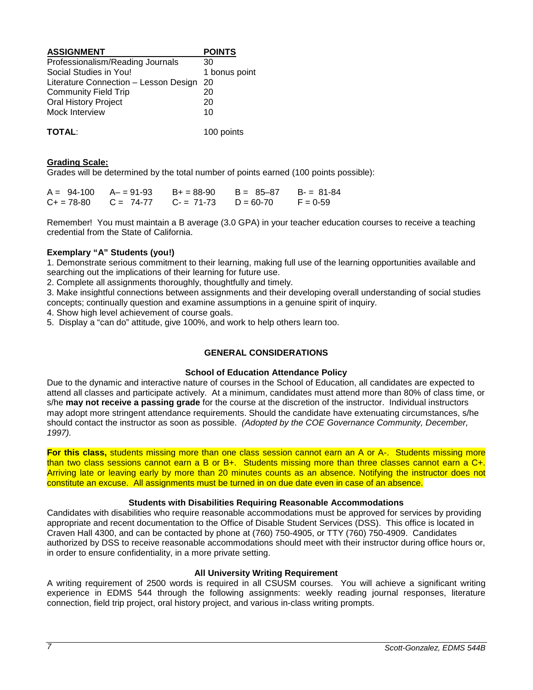| <b>ASSIGNMENT</b>                     | <b>POINTS</b> |
|---------------------------------------|---------------|
| Professionalism/Reading Journals      | 30            |
| Social Studies in You!                | 1 bonus point |
| Literature Connection - Lesson Design | 20            |
| <b>Community Field Trip</b>           | 20            |
| <b>Oral History Project</b>           | 20            |
| Mock Interview                        | 10            |
| <b>TOTAL:</b>                         | 100 points    |

### **Grading Scale:**

Grades will be determined by the total number of points earned (100 points possible):

|  | $A = 94-100$ $A = 91-93$ $B = 88-90$                | B = 85–87 | $B = 81-84$ |
|--|-----------------------------------------------------|-----------|-------------|
|  | $C_+ = 78-80$ $C = 74-77$ $C_- = 71-73$ $D = 60-70$ |           | $F = 0.59$  |

Remember! You must maintain a B average (3.0 GPA) in your teacher education courses to receive a teaching credential from the State of California.

## **Exemplary "A" Students (you!)**

1. Demonstrate serious commitment to their learning, making full use of the learning opportunities available and searching out the implications of their learning for future use.

2. Complete all assignments thoroughly, thoughtfully and timely.

3. Make insightful connections between assignments and their developing overall understanding of social studies concepts; continually question and examine assumptions in a genuine spirit of inquiry.

4. Show high level achievement of course goals.

5. Display a "can do" attitude, give 100%, and work to help others learn too.

## **GENERAL CONSIDERATIONS**

#### **School of Education Attendance Policy**

Due to the dynamic and interactive nature of courses in the School of Education, all candidates are expected to attend all classes and participate actively. At a minimum, candidates must attend more than 80% of class time, or s/he **may not receive a passing grade** for the course at the discretion of the instructor. Individual instructors may adopt more stringent attendance requirements. Should the candidate have extenuating circumstances, s/he should contact the instructor as soon as possible. *(Adopted by the COE Governance Community, December, 1997).*

**For this class,** students missing more than one class session cannot earn an A or A-. Students missing more than two class sessions cannot earn a B or B+. Students missing more than three classes cannot earn a C+. Arriving late or leaving early by more than 20 minutes counts as an absence. Notifying the instructor does not constitute an excuse. All assignments must be turned in on due date even in case of an absence.

### **Students with Disabilities Requiring Reasonable Accommodations**

Candidates with disabilities who require reasonable accommodations must be approved for services by providing appropriate and recent documentation to the Office of Disable Student Services (DSS). This office is located in Craven Hall 4300, and can be contacted by phone at (760) 750-4905, or TTY (760) 750-4909. Candidates authorized by DSS to receive reasonable accommodations should meet with their instructor during office hours or, in order to ensure confidentiality, in a more private setting.

#### **All University Writing Requirement**

A writing requirement of 2500 words is required in all CSUSM courses. You will achieve a significant writing experience in EDMS 544 through the following assignments: weekly reading journal responses, literature connection, field trip project, oral history project, and various in-class writing prompts.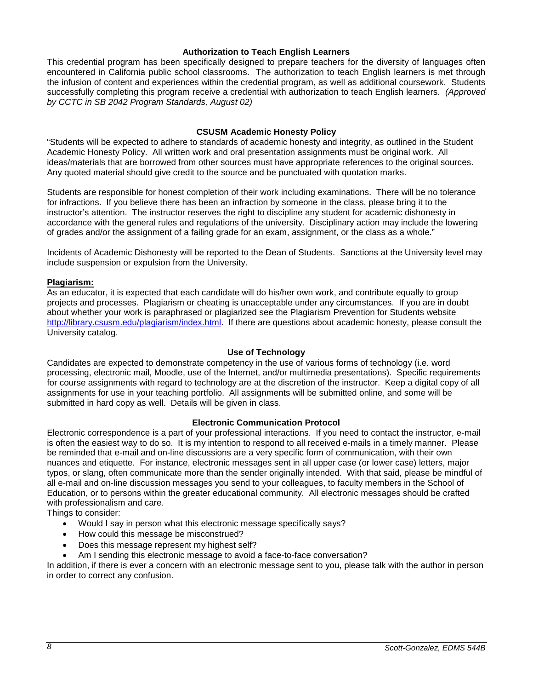#### **Authorization to Teach English Learners**

This credential program has been specifically designed to prepare teachers for the diversity of languages often encountered in California public school classrooms. The authorization to teach English learners is met through the infusion of content and experiences within the credential program, as well as additional coursework. Students successfully completing this program receive a credential with authorization to teach English learners. *(Approved by CCTC in SB 2042 Program Standards, August 02)*

### **CSUSM Academic Honesty Policy**

"Students will be expected to adhere to standards of academic honesty and integrity, as outlined in the Student Academic Honesty Policy. All written work and oral presentation assignments must be original work. All ideas/materials that are borrowed from other sources must have appropriate references to the original sources. Any quoted material should give credit to the source and be punctuated with quotation marks.

Students are responsible for honest completion of their work including examinations. There will be no tolerance for infractions. If you believe there has been an infraction by someone in the class, please bring it to the instructor's attention. The instructor reserves the right to discipline any student for academic dishonesty in accordance with the general rules and regulations of the university. Disciplinary action may include the lowering of grades and/or the assignment of a failing grade for an exam, assignment, or the class as a whole."

Incidents of Academic Dishonesty will be reported to the Dean of Students. Sanctions at the University level may include suspension or expulsion from the University.

#### **Plagiarism:**

As an educator, it is expected that each candidate will do his/her own work, and contribute equally to group projects and processes. Plagiarism or cheating is unacceptable under any circumstances. If you are in doubt about whether your work is paraphrased or plagiarized see the Plagiarism Prevention for Students website [http://library.csusm.edu/plagiarism/index.html.](http://library.csusm.edu/plagiarism/index.html) If there are questions about academic honesty, please consult the University catalog.

#### **Use of Technology**

Candidates are expected to demonstrate competency in the use of various forms of technology (i.e. word processing, electronic mail, Moodle, use of the Internet, and/or multimedia presentations). Specific requirements for course assignments with regard to technology are at the discretion of the instructor. Keep a digital copy of all assignments for use in your teaching portfolio. All assignments will be submitted online, and some will be submitted in hard copy as well. Details will be given in class.

#### **Electronic Communication Protocol**

Electronic correspondence is a part of your professional interactions. If you need to contact the instructor, e-mail is often the easiest way to do so. It is my intention to respond to all received e-mails in a timely manner. Please be reminded that e-mail and on-line discussions are a very specific form of communication, with their own nuances and etiquette. For instance, electronic messages sent in all upper case (or lower case) letters, major typos, or slang, often communicate more than the sender originally intended. With that said, please be mindful of all e-mail and on-line discussion messages you send to your colleagues, to faculty members in the School of Education, or to persons within the greater educational community. All electronic messages should be crafted with professionalism and care.

Things to consider:

- Would I say in person what this electronic message specifically says?
- How could this message be misconstrued?
- Does this message represent my highest self?
- Am I sending this electronic message to avoid a face-to-face conversation?

In addition, if there is ever a concern with an electronic message sent to you, please talk with the author in person in order to correct any confusion.